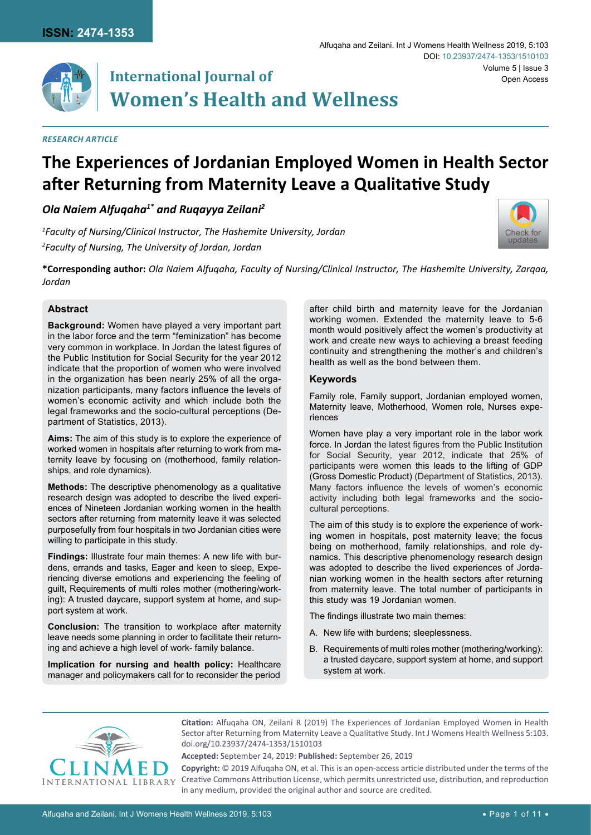

# **International Journal of Women's Health and Wellness**

#### *Research Article*

## **The Experiences of Jordanian Employed Women in Health Sector after Returning from Maternity Leave a Qualitative Study**

## *Ola Naiem Alfuqaha1\* and Ruqayya Zeilani2*

*1 Faculty of Nursing/Clinical Instructor, The Hashemite University, Jordan 2 Faculty of Nursing, The University of Jordan, Jordan*



**\*Corresponding author:** *Ola Naiem Alfuqaha, Faculty of Nursing/Clinical Instructor, The Hashemite University, Zarqaa, Jordan*

#### **Abstract**

**Background:** Women have played a very important part in the labor force and the term "feminization" has become very common in workplace. In Jordan the latest figures of the Public Institution for Social Security for the year 2012 indicate that the proportion of women who were involved in the organization has been nearly 25% of all the organization participants, many factors influence the levels of women's economic activity and which include both the legal frameworks and the socio-cultural perceptions (Department of Statistics, 2013).

**Aims:** The aim of this study is to explore the experience of worked women in hospitals after returning to work from maternity leave by focusing on (motherhood, family relationships, and role dynamics).

**Methods:** The descriptive phenomenology as a qualitative research design was adopted to describe the lived experiences of Nineteen Jordanian working women in the health sectors after returning from maternity leave it was selected purposefully from four hospitals in two Jordanian cities were willing to participate in this study.

**Findings:** Illustrate four main themes: A new life with burdens, errands and tasks, Eager and keen to sleep, Experiencing diverse emotions and experiencing the feeling of guilt, Requirements of multi roles mother (mothering/working): A trusted daycare, support system at home, and support system at work.

**Conclusion:** The transition to workplace after maternity leave needs some planning in order to facilitate their returning and achieve a high level of work- family balance.

**Implication for nursing and health policy:** Healthcare manager and policymakers call for to reconsider the period after child birth and maternity leave for the Jordanian working women. Extended the maternity leave to 5-6 month would positively affect the women's productivity at work and create new ways to achieving a breast feeding continuity and strengthening the mother's and children's health as well as the bond between them.

#### **Keywords**

Family role, Family support, Jordanian employed women, Maternity leave, Motherhood, Women role, Nurses experiences

Women have play a very important role in the labor work force. In Jordan the latest figures from the Public Institution for Social Security, year 2012, indicate that 25% of participants were women this leads to the lifting of GDP (Gross Domestic Product) (Department of Statistics, 2013). Many factors influence the levels of women's economic activity including both legal frameworks and the sociocultural perceptions.

The aim of this study is to explore the experience of working women in hospitals, post maternity leave; the focus being on motherhood, family relationships, and role dynamics. This descriptive phenomenology research design was adopted to describe the lived experiences of Jordanian working women in the health sectors after returning from maternity leave. The total number of participants in this study was 19 Jordanian women.

The findings illustrate two main themes:

- A. New life with burdens; sleeplessness.
- B. Requirements of multi roles mother (mothering/working): a trusted daycare, support system at home, and support system at work.



**Citation:** Alfuqaha ON, Zeilani R (2019) The Experiences of Jordanian Employed Women in Health Sector after Returning from Maternity Leave a Qualitative Study. Int J Womens Health Wellness 5:103. [doi.org/10.23937/2474-1353/1510103](https://doi.org/10.23937/2474-1353/1510103)

**Accepted:** September 24, 2019: **Published:** September 26, 2019

**Copyright:** © 2019 Alfuqaha ON, et al. This is an open-access article distributed under the terms of the Creative Commons Attribution License, which permits unrestricted use, distribution, and reproduction in any medium, provided the original author and source are credited.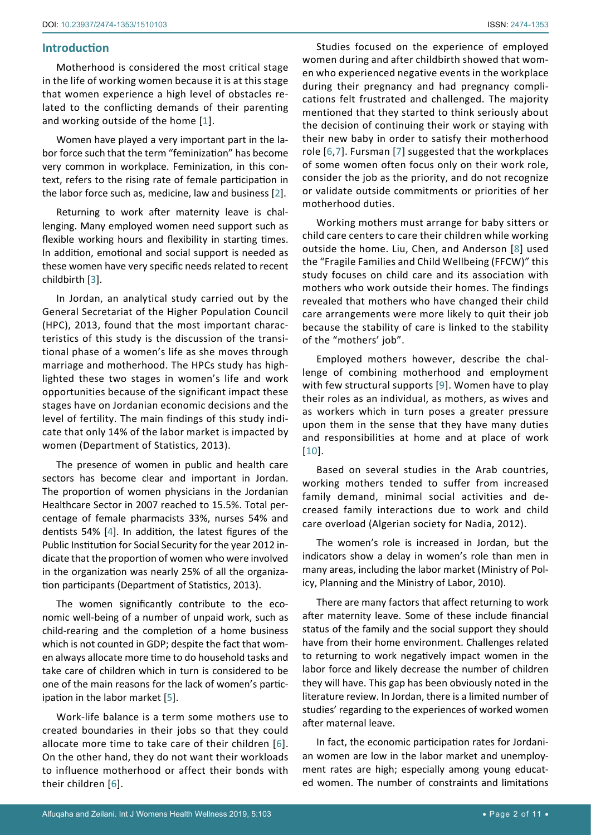## **Introduction**

Motherhood is considered the most critical stage in the life of working women because it is at this stage that women experience a high level of obstacles related to the conflicting demands of their parenting and working outside of the home [[1](#page-9-5)].

Women have played a very important part in the labor force such that the term "feminization" has become very common in workplace. Feminization, in this context, refers to the rising rate of female participation in the labor force such as, medicine, law and business [[2](#page-9-6)].

Returning to work after maternity leave is challenging. Many employed women need support such as flexible working hours and flexibility in starting times. In addition, emotional and social support is needed as these women have very specific needs related to recent childbirth [[3\]](#page-9-7).

In Jordan, an analytical study carried out by the General Secretariat of the Higher Population Council (HPC), 2013, found that the most important characteristics of this study is the discussion of the transitional phase of a women's life as she moves through marriage and motherhood. The HPCs study has highlighted these two stages in women's life and work opportunities because of the significant impact these stages have on Jordanian economic decisions and the level of fertility. The main findings of this study indicate that only 14% of the labor market is impacted by women (Department of Statistics, 2013).

The presence of women in public and health care sectors has become clear and important in Jordan. The proportion of women physicians in the Jordanian Healthcare Sector in 2007 reached to 15.5%. Total percentage of female pharmacists 33%, nurses 54% and dentists 54% [\[4\]](#page-9-8). In addition, the latest figures of the Public Institution for Social Security for the year 2012 indicate that the proportion of women who were involved in the organization was nearly 25% of all the organization participants (Department of Statistics, 2013).

The women significantly contribute to the economic well-being of a number of unpaid work, such as child-rearing and the completion of a home business which is not counted in GDP; despite the fact that women always allocate more time to do household tasks and take care of children which in turn is considered to be one of the main reasons for the lack of women's participation in the labor market [\[5\]](#page-9-9).

Work-life balance is a term some mothers use to created boundaries in their jobs so that they could allocate more time to take care of their children [[6](#page-9-0)]. On the other hand, they do not want their workloads to influence motherhood or affect their bonds with their children [[6](#page-9-0)].

Studies focused on the experience of employed women during and after childbirth showed that women who experienced negative events in the workplace during their pregnancy and had pregnancy complications felt frustrated and challenged. The majority mentioned that they started to think seriously about the decision of continuing their work or staying with their new baby in order to satisfy their motherhood role [\[6](#page-9-0),[7\]](#page-9-1). Fursman [[7\]](#page-9-1) suggested that the workplaces of some women often focus only on their work role, consider the job as the priority, and do not recognize or validate outside commitments or priorities of her motherhood duties.

Working mothers must arrange for baby sitters or child care centers to care their children while working outside the home. Liu, Chen, and Anderson [[8\]](#page-9-2) used the "Fragile Families and Child Wellbeing (FFCW)" this study focuses on child care and its association with mothers who work outside their homes. The findings revealed that mothers who have changed their child care arrangements were more likely to quit their job because the stability of care is linked to the stability of the "mothers' job".

Employed mothers however, describe the challenge of combining motherhood and employment with few structural supports [[9](#page-9-3)]. Women have to play their roles as an individual, as mothers, as wives and as workers which in turn poses a greater pressure upon them in the sense that they have many duties and responsibilities at home and at place of work [\[10](#page-9-4)].

Based on several studies in the Arab countries, working mothers tended to suffer from increased family demand, minimal social activities and decreased family interactions due to work and child care overload (Algerian society for Nadia, 2012).

The women's role is increased in Jordan, but the indicators show a delay in women's role than men in many areas, including the labor market (Ministry of Policy, Planning and the Ministry of Labor, 2010).

There are many factors that affect returning to work after maternity leave. Some of these include financial status of the family and the social support they should have from their home environment. Challenges related to returning to work negatively impact women in the labor force and likely decrease the number of children they will have. This gap has been obviously noted in the literature review. In Jordan, there is a limited number of studies' regarding to the experiences of worked women after maternal leave.

In fact, the economic participation rates for Jordanian women are low in the labor market and unemployment rates are high; especially among young educated women. The number of constraints and limitations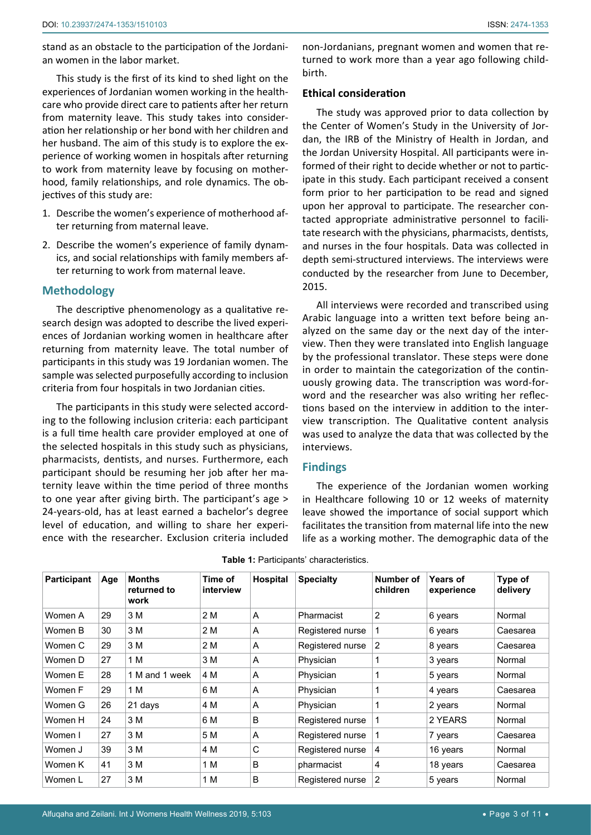stand as an obstacle to the participation of the Jordanian women in the labor market.

This study is the first of its kind to shed light on the experiences of Jordanian women working in the healthcare who provide direct care to patients after her return from maternity leave. This study takes into consideration her relationship or her bond with her children and her husband. The aim of this study is to explore the experience of working women in hospitals after returning to work from maternity leave by focusing on motherhood, family relationships, and role dynamics. The objectives of this study are:

- 1. Describe the women's experience of motherhood after returning from maternal leave.
- 2. Describe the women's experience of family dynamics, and social relationships with family members after returning to work from maternal leave.

#### **Methodology**

The descriptive phenomenology as a qualitative research design was adopted to describe the lived experiences of Jordanian working women in healthcare after returning from maternity leave. The total number of participants in this study was 19 Jordanian women. The sample was selected purposefully according to inclusion criteria from four hospitals in two Jordanian cities.

The participants in this study were selected according to the following inclusion criteria: each participant is a full time health care provider employed at one of the selected hospitals in this study such as physicians, pharmacists, dentists, and nurses. Furthermore, each participant should be resuming her job after her maternity leave within the time period of three months to one year after giving birth. The participant's age > 24-years-old, has at least earned a bachelor's degree level of education, and willing to share her experience with the researcher. Exclusion criteria included non-Jordanians, pregnant women and women that returned to work more than a year ago following childbirth.

#### **Ethical consideration**

The study was approved prior to data collection by the Center of Women's Study in the University of Jordan, the IRB of the Ministry of Health in Jordan, and the Jordan University Hospital. All participants were informed of their right to decide whether or not to participate in this study. Each participant received a consent form prior to her participation to be read and signed upon her approval to participate. The researcher contacted appropriate administrative personnel to facilitate research with the physicians, pharmacists, dentists, and nurses in the four hospitals. Data was collected in depth semi-structured interviews. The interviews were conducted by the researcher from June to December, 2015.

All interviews were recorded and transcribed using Arabic language into a written text before being analyzed on the same day or the next day of the interview. Then they were translated into English language by the professional translator. These steps were done in order to maintain the categorization of the continuously growing data. The transcription was word-forword and the researcher was also writing her reflections based on the interview in addition to the interview transcription. The Qualitative content analysis was used to analyze the data that was collected by the interviews.

#### **Findings**

The experience of the Jordanian women working in Healthcare following 10 or 12 weeks of maternity leave showed the importance of social support which facilitates the transition from maternal life into the new life as a working mother. The demographic data of the

| Participant | Age | <b>Months</b><br>returned to<br>work | Time of<br>interview | Hospital | <b>Specialty</b> | Number of<br>children | <b>Years of</b><br>experience | Type of<br>delivery |
|-------------|-----|--------------------------------------|----------------------|----------|------------------|-----------------------|-------------------------------|---------------------|
| Women A     | 29  | 3 M                                  | 2 M                  | A        | Pharmacist       | 2                     | 6 years                       | Normal              |
| Women B     | 30  | 3 M                                  | 2 M                  | A        | Registered nurse | 1                     | 6 years                       | Caesarea            |
| Women C     | 29  | 3 M                                  | 2 M                  | A        | Registered nurse | $\overline{2}$        | 8 years                       | Caesarea            |
| Women D     | 27  | 1 M                                  | 3 M                  | A        | Physician        |                       | 3 years                       | Normal              |
| Women E     | 28  | 1 M and 1 week                       | 4 M                  | A        | Physician        | 1                     | 5 years                       | Normal              |
| Women F     | 29  | 1 M                                  | 6 M                  | A        | Physician        |                       | 4 years                       | Caesarea            |
| Women G     | 26  | 21 days                              | 4 M                  | A        | Physician        | 1                     | 2 years                       | Normal              |
| Women H     | 24  | 3 M                                  | 6 M                  | B        | Registered nurse | 1                     | 2 YEARS                       | Normal              |
| Women I     | 27  | 3 M                                  | 5 M                  | A        | Registered nurse | 1                     | 7 years                       | Caesarea            |
| Women J     | 39  | 3 M                                  | 4 M                  | C        | Registered nurse | 4                     | 16 years                      | Normal              |
| Women K     | 41  | 3 M                                  | 1 M                  | B        | pharmacist       | 4                     | 18 years                      | Caesarea            |
| Women L     | 27  | 3 M                                  | 1 M                  | B        | Registered nurse | $\overline{2}$        | 5 years                       | Normal              |

<span id="page-2-0"></span>**Table 1:** Participants' characteristics.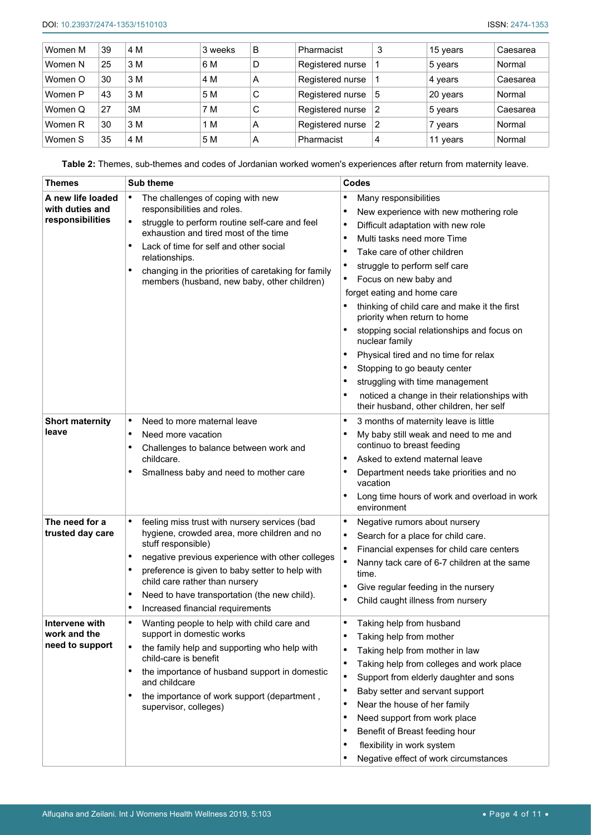| Women M | 39 | 4 M | 3 weeks | B | Pharmacist       | 3 | 15 years | Caesarea |
|---------|----|-----|---------|---|------------------|---|----------|----------|
| Women N | 25 | 3 M | 6 M     | D | Registered nurse |   | 5 years  | Normal   |
| Women O | 30 | 3 M | 4 M     | A | Registered nurse |   | 4 years  | Caesarea |
| Women P | 43 | 3 M | 5 M     | C | Registered nurse | 5 | 20 years | Normal   |
| Women Q | 27 | 3M  | 7 M     | C | Registered nurse | 2 | 5 years  | Caesarea |
| Women R | 30 | 3 M | 1 M     | A | Registered nurse | 2 | vears    | Normal   |
| Women S | 35 | 4 M | 5 M     | А | Pharmacist       | 4 | 11 years | Normal   |

<span id="page-3-0"></span>**Table 2:** Themes, sub-themes and codes of Jordanian worked women's experiences after return from maternity leave.

| <b>Themes</b>                                            | <b>Sub theme</b>                                                                                                                                                                                                                                                                                                                                          | <b>Codes</b>                                                                                                                                                                                                                                                                                                                                                                                                                                                                                                                                                                                                                 |  |  |
|----------------------------------------------------------|-----------------------------------------------------------------------------------------------------------------------------------------------------------------------------------------------------------------------------------------------------------------------------------------------------------------------------------------------------------|------------------------------------------------------------------------------------------------------------------------------------------------------------------------------------------------------------------------------------------------------------------------------------------------------------------------------------------------------------------------------------------------------------------------------------------------------------------------------------------------------------------------------------------------------------------------------------------------------------------------------|--|--|
| A new life loaded<br>with duties and<br>responsibilities | The challenges of coping with new<br>$\bullet$<br>responsibilities and roles.<br>struggle to perform routine self-care and feel<br>$\bullet$<br>exhaustion and tired most of the time<br>Lack of time for self and other social<br>relationships.<br>changing in the priorities of caretaking for family<br>members (husband, new baby, other children)   | Many responsibilities<br>٠<br>New experience with new mothering role<br>$\bullet$<br>Difficult adaptation with new role<br>$\bullet$<br>Multi tasks need more Time<br>٠<br>Take care of other children<br>$\bullet$<br>struggle to perform self care<br>Focus on new baby and<br>forget eating and home care<br>thinking of child care and make it the first<br>priority when return to home<br>stopping social relationships and focus on<br>nuclear family<br>Physical tired and no time for relax<br>٠<br>Stopping to go beauty center<br>struggling with time management<br>noticed a change in their relationships with |  |  |
| <b>Short maternity</b><br>leave                          | Need to more maternal leave<br>$\bullet$<br>Need more vacation<br>٠<br>Challenges to balance between work and<br>childcare.<br>Smallness baby and need to mother care                                                                                                                                                                                     | their husband, other children, her self<br>3 months of maternity leave is little<br>٠<br>My baby still weak and need to me and<br>٠<br>continuo to breast feeding<br>Asked to extend maternal leave<br>$\bullet$<br>Department needs take priorities and no<br>vacation<br>Long time hours of work and overload in work<br>environment                                                                                                                                                                                                                                                                                       |  |  |
| The need for a<br>trusted day care                       | feeling miss trust with nursery services (bad<br>hygiene, crowded area, more children and no<br>stuff responsible)<br>negative previous experience with other colleges<br>٠<br>preference is given to baby setter to help with<br>child care rather than nursery<br>Need to have transportation (the new child).<br>٠<br>Increased financial requirements | ٠<br>Negative rumors about nursery<br>Search for a place for child care.<br>$\bullet$<br>$\bullet$<br>Financial expenses for child care centers<br>$\bullet$<br>Nanny tack care of 6-7 children at the same<br>time.<br>Give regular feeding in the nursery<br>٠<br>Child caught illness from nursery                                                                                                                                                                                                                                                                                                                        |  |  |
| Intervene with<br>work and the<br>need to support        | Wanting people to help with child care and<br>support in domestic works<br>$\bullet$<br>the family help and supporting who help with<br>child-care is benefit<br>the importance of husband support in domestic<br>$\bullet$<br>and childcare<br>the importance of work support (department,<br>supervisor, colleges)                                      | Taking help from husband<br>Taking help from mother<br>Taking help from mother in law<br>٠<br>Taking help from colleges and work place<br>$\bullet$<br>$\bullet$<br>Support from elderly daughter and sons<br>Baby setter and servant support<br>$\bullet$<br>Near the house of her family<br>٠<br>Need support from work place<br>٠<br>Benefit of Breast feeding hour<br>٠<br>flexibility in work system<br>Negative effect of work circumstances                                                                                                                                                                           |  |  |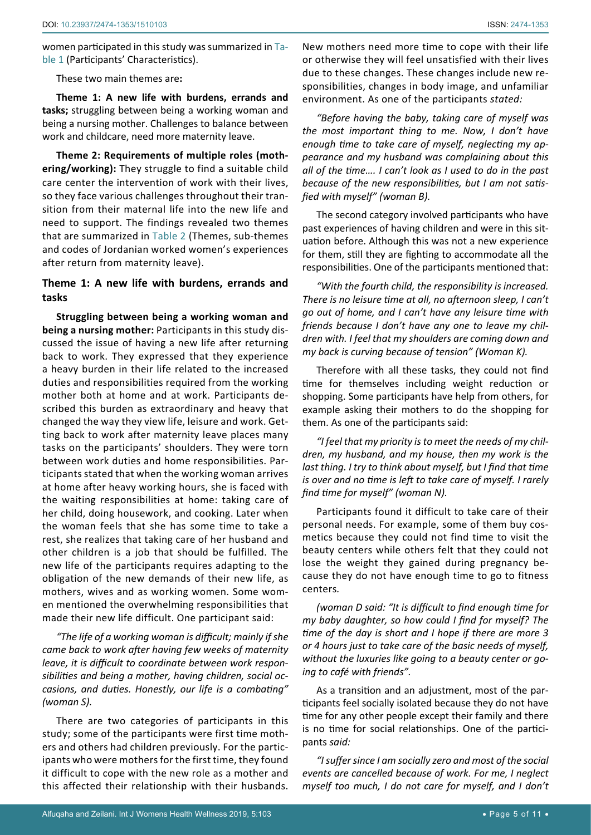women participated in this study was summarized in [Ta](#page-2-0)[ble 1](#page-2-0) (Participants' Characteristics).

These two main themes are**:** 

**Theme 1: A new life with burdens, errands and tasks;** struggling between being a working woman and being a nursing mother. Challenges to balance between work and childcare, need more maternity leave.

**Theme 2: Requirements of multiple roles (mothering/working):** They struggle to find a suitable child care center the intervention of work with their lives, so they face various challenges throughout their transition from their maternal life into the new life and need to support. The findings revealed two themes that are summarized in [Table 2](#page-3-0) (Themes, sub-themes and codes of Jordanian worked women's experiences after return from maternity leave).

## **Theme 1: A new life with burdens, errands and tasks**

**Struggling between being a working woman and being a nursing mother:** Participants in this study discussed the issue of having a new life after returning back to work. They expressed that they experience a heavy burden in their life related to the increased duties and responsibilities required from the working mother both at home and at work. Participants described this burden as extraordinary and heavy that changed the way they view life, leisure and work. Getting back to work after maternity leave places many tasks on the participants' shoulders. They were torn between work duties and home responsibilities. Participants stated that when the working woman arrives at home after heavy working hours, she is faced with the waiting responsibilities at home: taking care of her child, doing housework, and cooking. Later when the woman feels that she has some time to take a rest, she realizes that taking care of her husband and other children is a job that should be fulfilled. The new life of the participants requires adapting to the obligation of the new demands of their new life, as mothers, wives and as working women. Some women mentioned the overwhelming responsibilities that made their new life difficult. One participant said:

*"The life of a working woman is difficult; mainly if she came back to work after having few weeks of maternity leave, it is difficult to coordinate between work responsibilities and being a mother, having children, social occasions, and duties. Honestly, our life is a combating" (woman S).*

There are two categories of participants in this study; some of the participants were first time mothers and others had children previously. For the participants who were mothers for the first time, they found it difficult to cope with the new role as a mother and this affected their relationship with their husbands. New mothers need more time to cope with their life or otherwise they will feel unsatisfied with their lives due to these changes. These changes include new responsibilities, changes in body image, and unfamiliar environment. As one of the participants *stated:*

*"Before having the baby, taking care of myself was the most important thing to me. Now, I don't have enough time to take care of myself, neglecting my appearance and my husband was complaining about this all of the time…. I can't look as I used to do in the past because of the new responsibilities, but I am not satisfied with myself" (woman B).*

The second category involved participants who have past experiences of having children and were in this situation before. Although this was not a new experience for them, still they are fighting to accommodate all the responsibilities. One of the participants mentioned that:

*"With the fourth child, the responsibility is increased. There is no leisure time at all, no afternoon sleep, I can't go out of home, and I can't have any leisure time with friends because I don't have any one to leave my children with. I feel that my shoulders are coming down and my back is curving because of tension" (Woman K).*

Therefore with all these tasks, they could not find time for themselves including weight reduction or shopping. Some participants have help from others, for example asking their mothers to do the shopping for them. As one of the participants said:

*"I feel that my priority is to meet the needs of my children, my husband, and my house, then my work is the last thing. I try to think about myself, but I find that time is over and no time is left to take care of myself. I rarely find time for myself" (woman N).*

Participants found it difficult to take care of their personal needs. For example, some of them buy cosmetics because they could not find time to visit the beauty centers while others felt that they could not lose the weight they gained during pregnancy because they do not have enough time to go to fitness centers*.*

*(woman D said: "It is difficult to find enough time for my baby daughter, so how could I find for myself? The time of the day is short and I hope if there are more 3 or 4 hours just to take care of the basic needs of myself, without the luxuries like going to a beauty center or going to café with friends".*

As a transition and an adjustment, most of the participants feel socially isolated because they do not have time for any other people except their family and there is no time for social relationships. One of the participants *said:*

*"I suffer since I am socially zero and most of the social events are cancelled because of work. For me, I neglect myself too much, I do not care for myself, and I don't*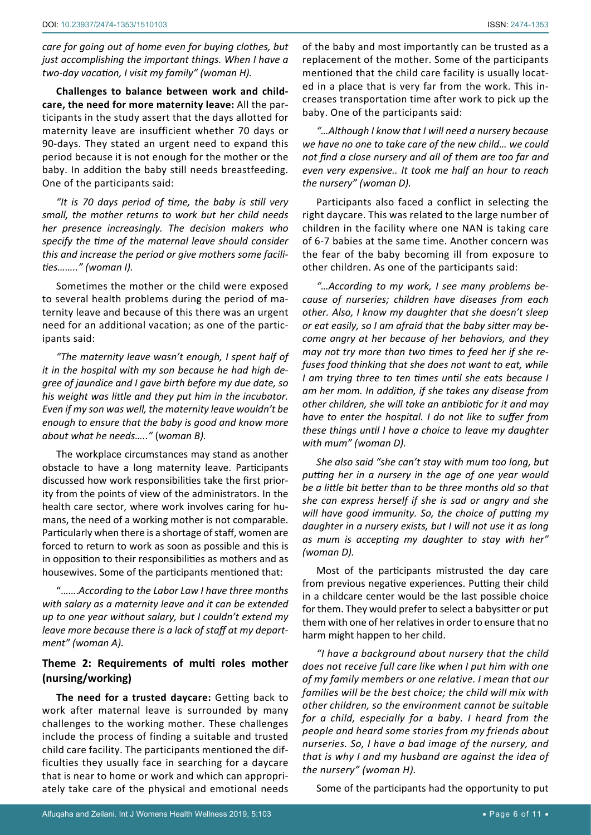*care for going out of home even for buying clothes, but just accomplishing the important things. When I have a two-day vacation, I visit my family" (woman H).*

**Challenges to balance between work and childcare, the need for more maternity leave:** All the participants in the study assert that the days allotted for maternity leave are insufficient whether 70 days or 90-days. They stated an urgent need to expand this period because it is not enough for the mother or the baby. In addition the baby still needs breastfeeding. One of the participants said:

*"It is 70 days period of time, the baby is still very small, the mother returns to work but her child needs her presence increasingly. The decision makers who specify the time of the maternal leave should consider this and increase the period or give mothers some facilities…….." (woman I).*

Sometimes the mother or the child were exposed to several health problems during the period of maternity leave and because of this there was an urgent need for an additional vacation; as one of the participants said:

*"The maternity leave wasn't enough, I spent half of it in the hospital with my son because he had high degree of jaundice and I gave birth before my due date, so his weight was little and they put him in the incubator. Even if my son was well, the maternity leave wouldn't be enough to ensure that the baby is good and know more about what he needs….."* (*woman B).*

The workplace circumstances may stand as another obstacle to have a long maternity leave. Participants discussed how work responsibilities take the first priority from the points of view of the administrators. In the health care sector, where work involves caring for humans, the need of a working mother is not comparable. Particularly when there is a shortage of staff, women are forced to return to work as soon as possible and this is in opposition to their responsibilities as mothers and as housewives. Some of the participants mentioned that:

"…….*According to the Labor Law I have three months with salary as a maternity leave and it can be extended up to one year without salary, but I couldn't extend my leave more because there is a lack of staff at my department" (woman A).*

## **Theme 2: Requirements of multi roles mother (nursing/working)**

**The need for a trusted daycare:** Getting back to work after maternal leave is surrounded by many challenges to the working mother. These challenges include the process of finding a suitable and trusted child care facility. The participants mentioned the difficulties they usually face in searching for a daycare that is near to home or work and which can appropriately take care of the physical and emotional needs

of the baby and most importantly can be trusted as a replacement of the mother. Some of the participants mentioned that the child care facility is usually located in a place that is very far from the work. This increases transportation time after work to pick up the baby. One of the participants said:

*"…Although I know that I will need a nursery because we have no one to take care of the new child… we could not find a close nursery and all of them are too far and even very expensive.. It took me half an hour to reach the nursery" (woman D).*

Participants also faced a conflict in selecting the right daycare. This was related to the large number of children in the facility where one NAN is taking care of 6-7 babies at the same time. Another concern was the fear of the baby becoming ill from exposure to other children. As one of the participants said:

*"…According to my work, I see many problems because of nurseries; children have diseases from each other. Also, I know my daughter that she doesn't sleep or eat easily, so I am afraid that the baby sitter may become angry at her because of her behaviors, and they may not try more than two times to feed her if she refuses food thinking that she does not want to eat, while I am trying three to ten times until she eats because I am her mom. In addition, if she takes any disease from other children, she will take an antibiotic for it and may have to enter the hospital. I do not like to suffer from these things until I have a choice to leave my daughter with mum" (woman D).*

*She also said "she can't stay with mum too long, but putting her in a nursery in the age of one year would be a little bit better than to be three months old so that she can express herself if she is sad or angry and she will have good immunity. So, the choice of putting my daughter in a nursery exists, but I will not use it as long as mum is accepting my daughter to stay with her" (woman D).*

Most of the participants mistrusted the day care from previous negative experiences. Putting their child in a childcare center would be the last possible choice for them. They would prefer to select a babysitter or put them with one of her relatives in order to ensure that no harm might happen to her child.

*"I have a background about nursery that the child does not receive full care like when I put him with one of my family members or one relative. I mean that our families will be the best choice; the child will mix with other children, so the environment cannot be suitable for a child, especially for a baby. I heard from the people and heard some stories from my friends about nurseries. So, I have a bad image of the nursery, and that is why I and my husband are against the idea of the nursery" (woman H).*

Some of the participants had the opportunity to put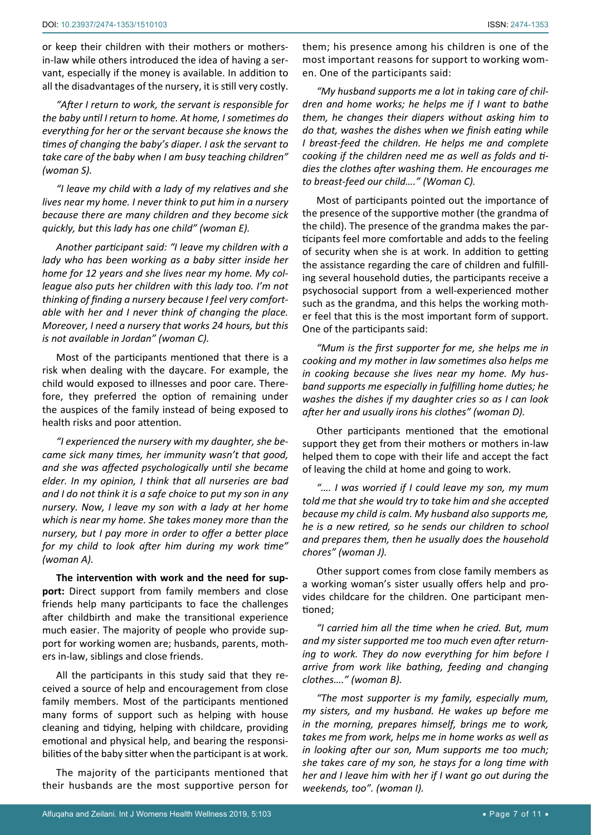or keep their children with their mothers or mothersin-law while others introduced the idea of having a servant, especially if the money is available. In addition to all the disadvantages of the nursery, it is still very costly.

*"After I return to work, the servant is responsible for the baby until I return to home. At home, I sometimes do everything for her or the servant because she knows the times of changing the baby's diaper. I ask the servant to take care of the baby when I am busy teaching children" (woman S).*

*"I leave my child with a lady of my relatives and she lives near my home. I never think to put him in a nursery because there are many children and they become sick quickly, but this lady has one child" (woman E).*

*Another participant said: "I leave my children with a lady who has been working as a baby sitter inside her home for 12 years and she lives near my home. My colleague also puts her children with this lady too. I'm not thinking of finding a nursery because I feel very comfortable with her and I never think of changing the place. Moreover, I need a nursery that works 24 hours, but this is not available in Jordan" (woman C).*

Most of the participants mentioned that there is a risk when dealing with the daycare. For example, the child would exposed to illnesses and poor care. Therefore, they preferred the option of remaining under the auspices of the family instead of being exposed to health risks and poor attention.

*"I experienced the nursery with my daughter, she became sick many times, her immunity wasn't that good, and she was affected psychologically until she became elder. In my opinion, I think that all nurseries are bad and I do not think it is a safe choice to put my son in any nursery. Now, I leave my son with a lady at her home which is near my home. She takes money more than the nursery, but I pay more in order to offer a better place for my child to look after him during my work time" (woman A).*

**The intervention with work and the need for support:** Direct support from family members and close friends help many participants to face the challenges after childbirth and make the transitional experience much easier. The majority of people who provide support for working women are; husbands, parents, mothers in-law, siblings and close friends.

All the participants in this study said that they received a source of help and encouragement from close family members. Most of the participants mentioned many forms of support such as helping with house cleaning and tidying, helping with childcare, providing emotional and physical help, and bearing the responsibilities of the baby sitter when the participant is at work.

The majority of the participants mentioned that their husbands are the most supportive person for

them; his presence among his children is one of the most important reasons for support to working women. One of the participants said:

*"My husband supports me a lot in taking care of children and home works; he helps me if I want to bathe them, he changes their diapers without asking him to do that, washes the dishes when we finish eating while I breast-feed the children. He helps me and complete cooking if the children need me as well as folds and tidies the clothes after washing them. He encourages me to breast-feed our child…." (Woman C).*

Most of participants pointed out the importance of the presence of the supportive mother (the grandma of the child). The presence of the grandma makes the participants feel more comfortable and adds to the feeling of security when she is at work. In addition to getting the assistance regarding the care of children and fulfilling several household duties, the participants receive a psychosocial support from a well-experienced mother such as the grandma, and this helps the working mother feel that this is the most important form of support. One of the participants said:

*"Mum is the first supporter for me, she helps me in cooking and my mother in law sometimes also helps me in cooking because she lives near my home. My husband supports me especially in fulfilling home duties; he washes the dishes if my daughter cries so as I can look after her and usually irons his clothes" (woman D).*

Other participants mentioned that the emotional support they get from their mothers or mothers in-law helped them to cope with their life and accept the fact of leaving the child at home and going to work.

*"…. I was worried if I could leave my son, my mum told me that she would try to take him and she accepted because my child is calm. My husband also supports me, he is a new retired, so he sends our children to school and prepares them, then he usually does the household chores" (woman J).*

Other support comes from close family members as a working woman's sister usually offers help and provides childcare for the children. One participant mentioned;

*"I carried him all the time when he cried. But, mum and my sister supported me too much even after returning to work. They do now everything for him before I arrive from work like bathing, feeding and changing clothes…." (woman B).*

*"The most supporter is my family, especially mum, my sisters, and my husband. He wakes up before me in the morning, prepares himself, brings me to work, takes me from work, helps me in home works as well as in looking after our son, Mum supports me too much; she takes care of my son, he stays for a long time with her and I leave him with her if I want go out during the weekends, too". (woman I).*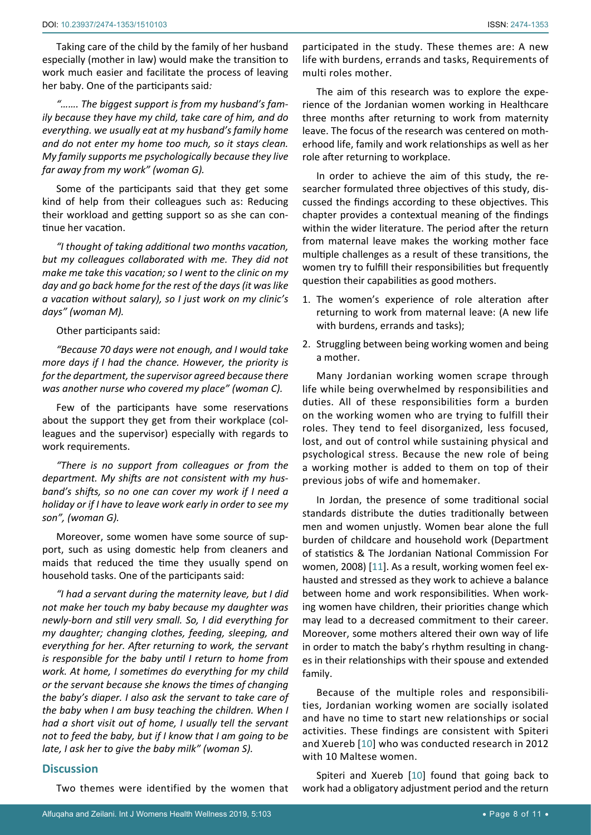Taking care of the child by the family of her husband especially (mother in law) would make the transition to work much easier and facilitate the process of leaving her baby. One of the participants said*:*

*"……. The biggest support is from my husband's family because they have my child, take care of him, and do everything. we usually eat at my husband's family home and do not enter my home too much, so it stays clean. My family supports me psychologically because they live far away from my work" (woman G).*

Some of the participants said that they get some kind of help from their colleagues such as: Reducing their workload and getting support so as she can continue her vacation.

*"I thought of taking additional two months vacation, but my colleagues collaborated with me. They did not make me take this vacation; so I went to the clinic on my day and go back home for the rest of the days (it was like a vacation without salary), so I just work on my clinic's days" (woman M).*

Other participants said:

*"Because 70 days were not enough, and I would take more days if I had the chance. However, the priority is for the department, the supervisor agreed because there was another nurse who covered my place" (woman C).*

Few of the participants have some reservations about the support they get from their workplace (colleagues and the supervisor) especially with regards to work requirements.

*"There is no support from colleagues or from the department. My shifts are not consistent with my husband's shifts, so no one can cover my work if I need a holiday or if I have to leave work early in order to see my son", (woman G).*

Moreover, some women have some source of support, such as using domestic help from cleaners and maids that reduced the time they usually spend on household tasks. One of the participants said:

*"I had a servant during the maternity leave, but I did not make her touch my baby because my daughter was newly-born and still very small. So, I did everything for my daughter; changing clothes, feeding, sleeping, and everything for her. After returning to work, the servant is responsible for the baby until I return to home from work. At home, I sometimes do everything for my child or the servant because she knows the times of changing the baby's diaper. I also ask the servant to take care of the baby when I am busy teaching the children. When I had a short visit out of home, I usually tell the servant not to feed the baby, but if I know that I am going to be late, I ask her to give the baby milk" (woman S).*

#### **Discussion**

Two themes were identified by the women that

participated in the study. These themes are: A new life with burdens, errands and tasks, Requirements of multi roles mother.

The aim of this research was to explore the experience of the Jordanian women working in Healthcare three months after returning to work from maternity leave. The focus of the research was centered on motherhood life, family and work relationships as well as her role after returning to workplace.

In order to achieve the aim of this study, the researcher formulated three objectives of this study, discussed the findings according to these objectives. This chapter provides a contextual meaning of the findings within the wider literature. The period after the return from maternal leave makes the working mother face multiple challenges as a result of these transitions, the women try to fulfill their responsibilities but frequently question their capabilities as good mothers.

- 1. The women's experience of role alteration after returning to work from maternal leave: (A new life with burdens, errands and tasks);
- 2. Struggling between being working women and being a mother.

Many Jordanian working women scrape through life while being overwhelmed by responsibilities and duties. All of these responsibilities form a burden on the working women who are trying to fulfill their roles. They tend to feel disorganized, less focused, lost, and out of control while sustaining physical and psychological stress. Because the new role of being a working mother is added to them on top of their previous jobs of wife and homemaker.

In Jordan, the presence of some traditional social standards distribute the duties traditionally between men and women unjustly. Women bear alone the full burden of childcare and household work (Department of statistics & The Jordanian National Commission For women, 2008) [[11](#page-9-10)]. As a result, working women feel exhausted and stressed as they work to achieve a balance between home and work responsibilities. When working women have children, their priorities change which may lead to a decreased commitment to their career. Moreover, some mothers altered their own way of life in order to match the baby's rhythm resulting in changes in their relationships with their spouse and extended family.

Because of the multiple roles and responsibilities, Jordanian working women are socially isolated and have no time to start new relationships or social activities. These findings are consistent with Spiteri and Xuereb [[10](#page-9-4)] who was conducted research in 2012 with 10 Maltese women.

Spiteri and Xuereb [[10](#page-9-4)] found that going back to work had a obligatory adjustment period and the return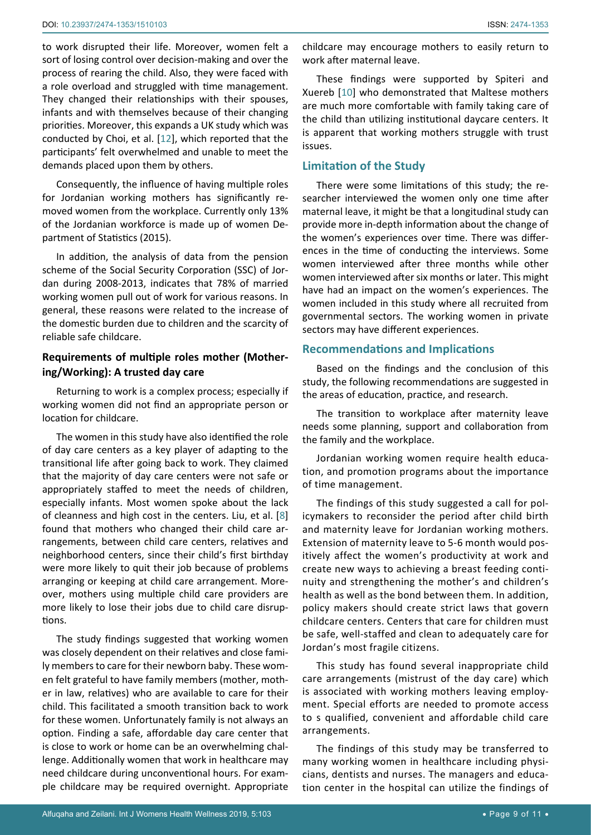to work disrupted their life. Moreover, women felt a sort of losing control over decision-making and over the process of rearing the child. Also, they were faced with a role overload and struggled with time management. They changed their relationships with their spouses, infants and with themselves because of their changing priorities. Moreover, this expands a UK study which was conducted by Choi, et al. [[12](#page-9-11)], which reported that the participants' felt overwhelmed and unable to meet the demands placed upon them by others.

Consequently, the influence of having multiple roles for Jordanian working mothers has significantly removed women from the workplace. Currently only 13% of the Jordanian workforce is made up of women Department of Statistics (2015).

In addition, the analysis of data from the pension scheme of the Social Security Corporation (SSC) of Jordan during 2008-2013, indicates that 78% of married working women pull out of work for various reasons. In general, these reasons were related to the increase of the domestic burden due to children and the scarcity of reliable safe childcare.

## **Requirements of multiple roles mother (Mothering/Working): A trusted day care**

Returning to work is a complex process; especially if working women did not find an appropriate person or location for childcare.

The women in this study have also identified the role of day care centers as a key player of adapting to the transitional life after going back to work. They claimed that the majority of day care centers were not safe or appropriately staffed to meet the needs of children, especially infants. Most women spoke about the lack of cleanness and high cost in the centers. Liu, et al. [[8](#page-9-2)] found that mothers who changed their child care arrangements, between child care centers, relatives and neighborhood centers, since their child's first birthday were more likely to quit their job because of problems arranging or keeping at child care arrangement. Moreover, mothers using multiple child care providers are more likely to lose their jobs due to child care disruptions.

The study findings suggested that working women was closely dependent on their relatives and close family members to care for their newborn baby. These women felt grateful to have family members (mother, mother in law, relatives) who are available to care for their child. This facilitated a smooth transition back to work for these women. Unfortunately family is not always an option. Finding a safe, affordable day care center that is close to work or home can be an overwhelming challenge. Additionally women that work in healthcare may need childcare during unconventional hours. For example childcare may be required overnight. Appropriate

childcare may encourage mothers to easily return to work after maternal leave.

These findings were supported by Spiteri and Xuereb [[10](#page-9-4)] who demonstrated that Maltese mothers are much more comfortable with family taking care of the child than utilizing institutional daycare centers. It is apparent that working mothers struggle with trust issues.

## **Limitation of the Study**

There were some limitations of this study; the researcher interviewed the women only one time after maternal leave, it might be that a longitudinal study can provide more in-depth information about the change of the women's experiences over time. There was differences in the time of conducting the interviews. Some women interviewed after three months while other women interviewed after six months or later. This might have had an impact on the women's experiences. The women included in this study where all recruited from governmental sectors. The working women in private sectors may have different experiences.

#### **Recommendations and Implications**

Based on the findings and the conclusion of this study, the following recommendations are suggested in the areas of education, practice, and research.

The transition to workplace after maternity leave needs some planning, support and collaboration from the family and the workplace.

Jordanian working women require health education, and promotion programs about the importance of time management.

The findings of this study suggested a call for policymakers to reconsider the period after child birth and maternity leave for Jordanian working mothers. Extension of maternity leave to 5-6 month would positively affect the women's productivity at work and create new ways to achieving a breast feeding continuity and strengthening the mother's and children's health as well as the bond between them. In addition, policy makers should create strict laws that govern childcare centers. Centers that care for children must be safe, well-staffed and clean to adequately care for Jordan's most fragile citizens.

This study has found several inappropriate child care arrangements (mistrust of the day care) which is associated with working mothers leaving employment. Special efforts are needed to promote access to s qualified, convenient and affordable child care arrangements.

The findings of this study may be transferred to many working women in healthcare including physicians, dentists and nurses. The managers and education center in the hospital can utilize the findings of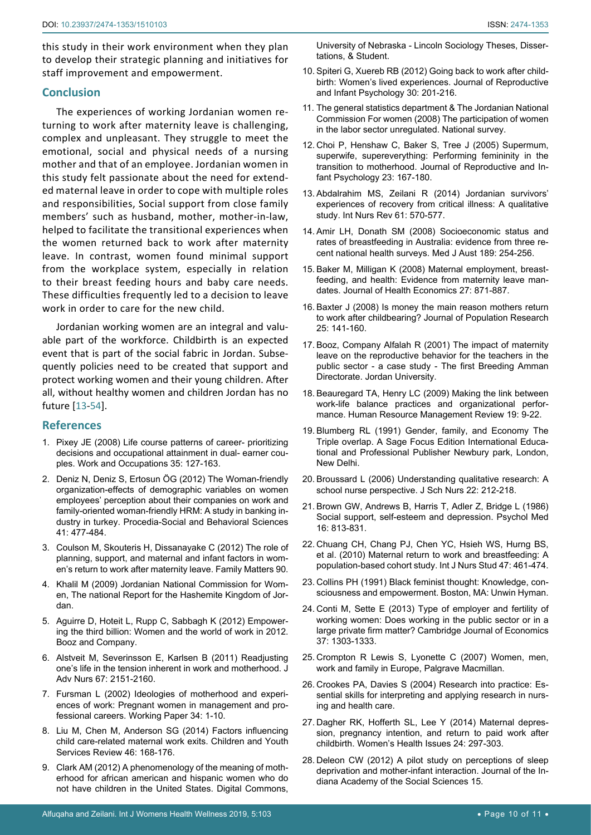this study in their work environment when they plan to develop their strategic planning and initiatives for staff improvement and empowerment.

#### **Conclusion**

The experiences of working Jordanian women returning to work after maternity leave is challenging, complex and unpleasant. They struggle to meet the emotional, social and physical needs of a nursing mother and that of an employee. Jordanian women in this study felt passionate about the need for extended maternal leave in order to cope with multiple roles and responsibilities, Social support from close family members' such as husband, mother, mother-in-law, helped to facilitate the transitional experiences when the women returned back to work after maternity leave. In contrast, women found minimal support from the workplace system, especially in relation to their breast feeding hours and baby care needs. These difficulties frequently led to a decision to leave work in order to care for the new child.

Jordanian working women are an integral and valuable part of the workforce. Childbirth is an expected event that is part of the social fabric in Jordan. Subsequently policies need to be created that support and protect working women and their young children. After all, without healthy women and children Jordan has no future [[13](#page-9-12)-[54\]](#page-10-0).

### **References**

- <span id="page-9-5"></span>1. Pixey JE (2008) Life course patterns of career- prioritizing decisions and occupational attainment in dual- earner couples. Work and Occupations 35: 127-163.
- <span id="page-9-6"></span>2. [Deniz N, Deniz S, Ertosun ÖG \(2012\) The Woman-friendly](https://www.sciencedirect.com/science/article/pii/S187704281200938X)  [organization-effects of demographic variables on women](https://www.sciencedirect.com/science/article/pii/S187704281200938X)  [employees' perception about their companies on work and](https://www.sciencedirect.com/science/article/pii/S187704281200938X)  [family-oriented woman-friendly HRM: A study in banking in](https://www.sciencedirect.com/science/article/pii/S187704281200938X)[dustry in turkey. Procedia-Social and Behavioral Sciences](https://www.sciencedirect.com/science/article/pii/S187704281200938X)  [41: 477-484.](https://www.sciencedirect.com/science/article/pii/S187704281200938X)
- <span id="page-9-7"></span>3. [Coulson M, Skouteris H, Dissanayake C \(2012\) The role of](https://aifs.gov.au/publications/family-matters/issue-90/role-planning-support-and-maternal-and-infant-factors-womens)  [planning, support, and maternal and infant factors in wom](https://aifs.gov.au/publications/family-matters/issue-90/role-planning-support-and-maternal-and-infant-factors-womens)[en's return to work after maternity leave. Family Matters 90.](https://aifs.gov.au/publications/family-matters/issue-90/role-planning-support-and-maternal-and-infant-factors-womens)
- <span id="page-9-8"></span>4. Khalil M (2009) Jordanian National Commission for Women, The national Report for the Hashemite Kingdom of Jordan.
- <span id="page-9-9"></span>5. [Aguirre D, Hoteit L, Rupp C, Sabbagh K \(2012\) Empower](https://www.voced.edu.au/content/ngv:53719)[ing the third billion: Women and the world of work in 2012.](https://www.voced.edu.au/content/ngv:53719)  [Booz and Company.](https://www.voced.edu.au/content/ngv:53719)
- <span id="page-9-0"></span>6. [Alstveit M, Severinsson E, Karlsen B \(2011\) Readjusting](https://www.ncbi.nlm.nih.gov/pubmed/21545634)  [one's life in the tension inherent in work and motherhood. J](https://www.ncbi.nlm.nih.gov/pubmed/21545634)  [Adv Nurs 67: 2151-2160.](https://www.ncbi.nlm.nih.gov/pubmed/21545634)
- <span id="page-9-1"></span>7. Fursman L (2002) Ideologies of motherhood and experiences of work: Pregnant women in management and professional careers. Working Paper 34: 1-10.
- <span id="page-9-2"></span>8. [Liu M, Chen M, Anderson SG \(2014\) Factors influencing](https://www.sciencedirect.com/science/article/pii/S019074091400262X)  [child care-related maternal work exits. Children and Youth](https://www.sciencedirect.com/science/article/pii/S019074091400262X)  [Services Review 46: 168-176.](https://www.sciencedirect.com/science/article/pii/S019074091400262X)
- <span id="page-9-3"></span>9. [Clark AM \(2012\) A phenomenology of the meaning of moth](https://digitalcommons.unl.edu/sociologydiss/17/)[erhood for african american and hispanic women who do](https://digitalcommons.unl.edu/sociologydiss/17/)  [not have children in the United States. Digital Commons,](https://digitalcommons.unl.edu/sociologydiss/17/)

[University of Nebraska - Lincoln Sociology Theses, Disser](https://digitalcommons.unl.edu/sociologydiss/17/)[tations, & Student.](https://digitalcommons.unl.edu/sociologydiss/17/)

- <span id="page-9-4"></span>10. [Spiteri G, Xuereb RB \(2012\) Going back to work after child](https://www.tandfonline.com/doi/abs/10.1080/02646838.2012.693153)[birth: Women's lived experiences. Journal of Reproductive](https://www.tandfonline.com/doi/abs/10.1080/02646838.2012.693153)  [and Infant Psychology 30: 201-216.](https://www.tandfonline.com/doi/abs/10.1080/02646838.2012.693153)
- <span id="page-9-10"></span>11. The general statistics department & The Jordanian National Commission For women (2008) The participation of women in the labor sector unregulated. National survey.
- <span id="page-9-11"></span>12. [Choi P, Henshaw C, Baker S, Tree J \(2005\) Supermum,](https://www.tandfonline.com/doi/abs/10.1080/02646830500129487)  [superwife, supereverything: Performing femininity in the](https://www.tandfonline.com/doi/abs/10.1080/02646830500129487)  [transition to motherhood. Journal of Reproductive and In](https://www.tandfonline.com/doi/abs/10.1080/02646830500129487)[fant Psychology 23: 167-180.](https://www.tandfonline.com/doi/abs/10.1080/02646830500129487)
- <span id="page-9-12"></span>13. [Abdalrahim MS, Zeilani R \(2014\) Jordanian survivors'](https://www.ncbi.nlm.nih.gov/pubmed/25382166)  [experiences of recovery from critical illness: A qualitative](https://www.ncbi.nlm.nih.gov/pubmed/25382166)  [study. Int Nurs Rev 61: 570-577.](https://www.ncbi.nlm.nih.gov/pubmed/25382166)
- 14. [Amir LH, Donath SM \(2008\) Socioeconomic status and](https://www.ncbi.nlm.nih.gov/pubmed/18759719)  [rates of breastfeeding in Australia: evidence from three re](https://www.ncbi.nlm.nih.gov/pubmed/18759719)[cent national health surveys. Med J Aust 189: 254-256.](https://www.ncbi.nlm.nih.gov/pubmed/18759719)
- 15. [Baker M, Milligan K \(2008\) Maternal employment, breast](https://papers.ssrn.com/sol3/papers.cfm?abstract_id=995698)[feeding, and health: Evidence from maternity leave man](https://papers.ssrn.com/sol3/papers.cfm?abstract_id=995698)dates. Journal of [Health Economics 27: 871-887.](https://papers.ssrn.com/sol3/papers.cfm?abstract_id=995698)
- 16. Baxter J (2008) Is money the main reason mothers return to work after childbearing? Journal of Population Research 25: 141-160.
- 17. Booz, Company Alfalah R (2001) The impact of maternity leave on the reproductive behavior for the teachers in the public sector - a case study - The first Breeding Amman Directorate. Jordan University.
- 18. [Beauregard TA, Henry LC \(2009\) Making the link between](https://www.sciencedirect.com/science/article/abs/pii/S105348220800065X)  [work-life balance practices and organizational perfor](https://www.sciencedirect.com/science/article/abs/pii/S105348220800065X)[mance. Human Resource Management Review](https://www.sciencedirect.com/science/article/abs/pii/S105348220800065X) 19: 9-22.
- 19. Blumberg RL (1991) Gender, family, and Economy The Triple overlap. A Sage Focus Edition International Educational and Professional Publisher Newbury park, London, New Delhi.
- 20. [Broussard L \(2006\) Understanding qualitative research: A](https://www.ncbi.nlm.nih.gov/pubmed/16856775)  [school nurse perspective. J Sch Nurs 22: 212-218.](https://www.ncbi.nlm.nih.gov/pubmed/16856775)
- 21. [Brown GW, Andrews B, Harris T, Adler Z, Bridge L \(1986\)](https://www.ncbi.nlm.nih.gov/pubmed/3823299)  [Social support, self-esteem and depression. Psychol Med](https://www.ncbi.nlm.nih.gov/pubmed/3823299)  [16: 813-831.](https://www.ncbi.nlm.nih.gov/pubmed/3823299)
- 22. [Chuang CH, Chang PJ, Chen YC, Hsieh WS, Hurng BS,](https://www.ncbi.nlm.nih.gov/pubmed/19819449)  [et al. \(2010\) Maternal return to work and breastfeeding: A](https://www.ncbi.nlm.nih.gov/pubmed/19819449)  [population-based cohort study. Int J Nurs Stud 47: 461-474.](https://www.ncbi.nlm.nih.gov/pubmed/19819449)
- 23. Collins PH (1991) Black feminist thought: Knowledge, consciousness and empowerment. Boston, MA: Unwin Hyman.
- 24. [Conti M, Sette E \(2013\) Type of employer and fertility of](https://academic.oup.com/cje/article-abstract/37/6/1303/1730517?redirectedFrom=fulltext)  [working women: Does working in the public sector or in a](https://academic.oup.com/cje/article-abstract/37/6/1303/1730517?redirectedFrom=fulltext)  [large private firm matter? Cambridge Journal of Economics](https://academic.oup.com/cje/article-abstract/37/6/1303/1730517?redirectedFrom=fulltext) [37: 1303-1333.](https://academic.oup.com/cje/article-abstract/37/6/1303/1730517?redirectedFrom=fulltext)
- 25. Crompton R Lewis S, Lyonette C (2007) Women, men, work and family in Europe, Palgrave Macmillan.
- 26. [Crookes PA, Davies S \(2004\) Research into practice: Es](https://ro.uow.edu.au/hbspapers/2852/)[sential skills for interpreting and applying research in nurs](https://ro.uow.edu.au/hbspapers/2852/)[ing and health care.](https://ro.uow.edu.au/hbspapers/2852/)
- 27. [Dagher RK, Hofferth SL, Lee Y \(2014\) Maternal depres](https://www.ncbi.nlm.nih.gov/pubmed/24794543)[sion, pregnancy intention, and return to paid work after](https://www.ncbi.nlm.nih.gov/pubmed/24794543)  [childbirth. Women's Health Issues 24: 297-303.](https://www.ncbi.nlm.nih.gov/pubmed/24794543)
- 28. [Deleon CW \(2012\) A pilot study on perceptions of sleep](https://pdfs.semanticscholar.org/dfa9/86c19dc3839c0847eb647b450fb1c4036378.pdf)  [deprivation and mother-infant interaction. Journal of the In](https://pdfs.semanticscholar.org/dfa9/86c19dc3839c0847eb647b450fb1c4036378.pdf)[diana Academy of the Social Sciences 15.](https://pdfs.semanticscholar.org/dfa9/86c19dc3839c0847eb647b450fb1c4036378.pdf)